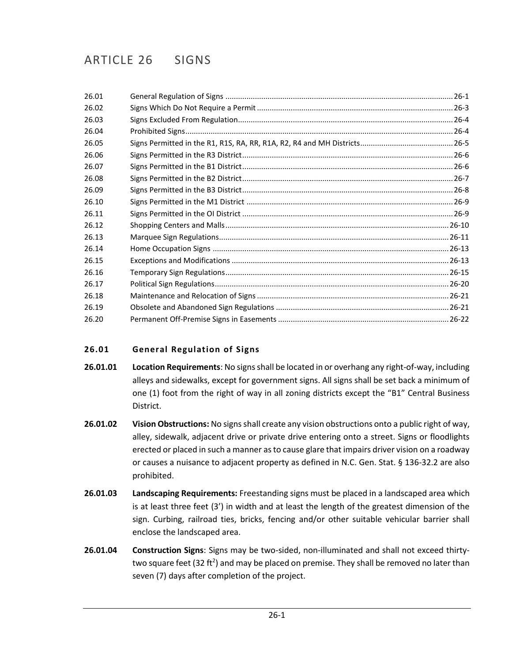| 26.01 |  |
|-------|--|
| 26.02 |  |
| 26.03 |  |
| 26.04 |  |
| 26.05 |  |
| 26.06 |  |
| 26.07 |  |
| 26.08 |  |
| 26.09 |  |
| 26.10 |  |
| 26.11 |  |
| 26.12 |  |
| 26.13 |  |
| 26.14 |  |
| 26.15 |  |
| 26.16 |  |
| 26.17 |  |
| 26.18 |  |
| 26.19 |  |
| 26.20 |  |
|       |  |

# <span id="page-0-0"></span>**26.01 General Regulation of Signs**

- **26.01.01 Location Requirements**: No signs shall be located in or overhang any right-of-way, including alleys and sidewalks, except for government signs. All signs shall be set back a minimum of one (1) foot from the right of way in all zoning districts except the "B1" Central Business District.
- **26.01.02 Vision Obstructions:** No signs shall create any vision obstructions onto a public right of way, alley, sidewalk, adjacent drive or private drive entering onto a street. Signs or floodlights erected or placed in such a manner as to cause glare that impairs driver vision on a roadway or causes a nuisance to adjacent property as defined in N.C. Gen. Stat. § 136-32.2 are also prohibited.
- **26.01.03 Landscaping Requirements:** Freestanding signs must be placed in a landscaped area which is at least three feet (3') in width and at least the length of the greatest dimension of the sign. Curbing, railroad ties, bricks, fencing and/or other suitable vehicular barrier shall enclose the landscaped area.
- **26.01.04 Construction Signs**: Signs may be two-sided, non-illuminated and shall not exceed thirtytwo square feet (32 ft<sup>2</sup>) and may be placed on premise. They shall be removed no later than seven (7) days after completion of the project.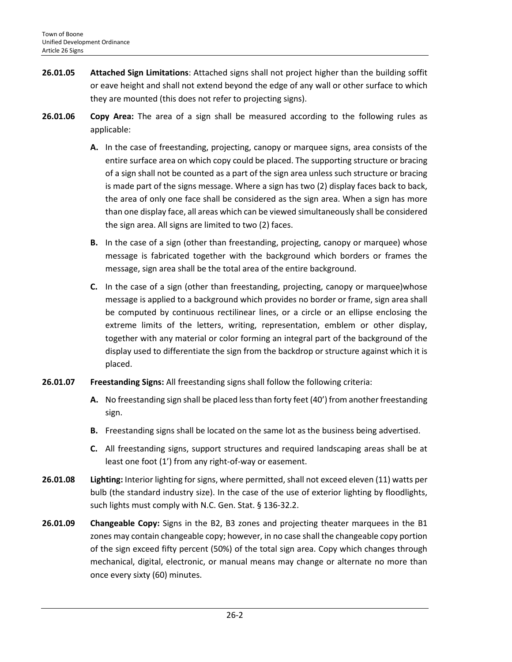- **26.01.05 Attached Sign Limitations**: Attached signs shall not project higher than the building soffit or eave height and shall not extend beyond the edge of any wall or other surface to which they are mounted (this does not refer to projecting signs).
- **26.01.06 Copy Area:** The area of a sign shall be measured according to the following rules as applicable:
	- **A.** In the case of freestanding, projecting, canopy or marquee signs, area consists of the entire surface area on which copy could be placed. The supporting structure or bracing of a sign shall not be counted as a part of the sign area unless such structure or bracing is made part of the signs message. Where a sign has two (2) display faces back to back, the area of only one face shall be considered as the sign area. When a sign has more than one display face, all areas which can be viewed simultaneously shall be considered the sign area. All signs are limited to two (2) faces.
	- **B.** In the case of a sign (other than freestanding, projecting, canopy or marquee) whose message is fabricated together with the background which borders or frames the message, sign area shall be the total area of the entire background.
	- **C.** In the case of a sign (other than freestanding, projecting, canopy or marquee)whose message is applied to a background which provides no border or frame, sign area shall be computed by continuous rectilinear lines, or a circle or an ellipse enclosing the extreme limits of the letters, writing, representation, emblem or other display, together with any material or color forming an integral part of the background of the display used to differentiate the sign from the backdrop or structure against which it is placed.
- **26.01.07 Freestanding Signs:** All freestanding signs shall follow the following criteria:
	- **A.** No freestanding sign shall be placed less than forty feet (40') from another freestanding sign.
	- **B.** Freestanding signs shall be located on the same lot as the business being advertised.
	- **C.** All freestanding signs, support structures and required landscaping areas shall be at least one foot (1') from any right-of-way or easement.
- **26.01.08 Lighting:** Interior lighting for signs, where permitted, shall not exceed eleven (11) watts per bulb (the standard industry size). In the case of the use of exterior lighting by floodlights, such lights must comply with N.C. Gen. Stat. § 136-32.2.
- **26.01.09 Changeable Copy:** Signs in the B2, B3 zones and projecting theater marquees in the B1 zones may contain changeable copy; however, in no case shall the changeable copy portion of the sign exceed fifty percent (50%) of the total sign area. Copy which changes through mechanical, digital, electronic, or manual means may change or alternate no more than once every sixty (60) minutes.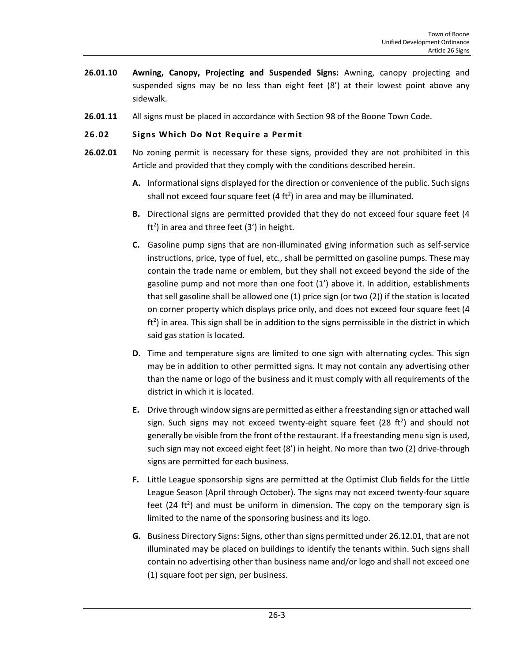- **26.01.10 Awning, Canopy, Projecting and Suspended Signs:** Awning, canopy projecting and suspended signs may be no less than eight feet (8') at their lowest point above any sidewalk.
- **26.01.11** All signs must be placed in accordance with Section 98 of the Boone Town Code.

# <span id="page-2-0"></span>**26.02 Signs Which Do Not Require a Permit**

- **26.02.01** No zoning permit is necessary for these signs, provided they are not prohibited in this Article and provided that they comply with the conditions described herein.
	- **A.** Informational signs displayed for the direction or convenience of the public. Such signs shall not exceed four square feet (4 ft<sup>2</sup>) in area and may be illuminated.
	- **B.** Directional signs are permitted provided that they do not exceed four square feet (4 ft<sup>2</sup>) in area and three feet (3') in height.
	- **C.** Gasoline pump signs that are non-illuminated giving information such as self-service instructions, price, type of fuel, etc., shall be permitted on gasoline pumps. These may contain the trade name or emblem, but they shall not exceed beyond the side of the gasoline pump and not more than one foot (1') above it. In addition, establishments that sell gasoline shall be allowed one (1) price sign (or two (2)) if the station is located on corner property which displays price only, and does not exceed four square feet (4  $ft<sup>2</sup>$ ) in area. This sign shall be in addition to the signs permissible in the district in which said gas station is located.
	- **D.** Time and temperature signs are limited to one sign with alternating cycles. This sign may be in addition to other permitted signs. It may not contain any advertising other than the name or logo of the business and it must comply with all requirements of the district in which it is located.
	- **E.** Drive through window signs are permitted as either a freestanding sign or attached wall sign. Such signs may not exceed twenty-eight square feet (28 $ft<sup>2</sup>$ ) and should not generally be visible from the front of the restaurant. If a freestanding menu sign is used, such sign may not exceed eight feet (8') in height. No more than two (2) drive-through signs are permitted for each business.
	- **F.** Little League sponsorship signs are permitted at the Optimist Club fields for the Little League Season (April through October). The signs may not exceed twenty-four square feet (24 ft<sup>2</sup>) and must be uniform in dimension. The copy on the temporary sign is limited to the name of the sponsoring business and its logo.
	- **G.** Business Directory Signs: Signs, other than signs permitted under 26.12.01, that are not illuminated may be placed on buildings to identify the tenants within. Such signs shall contain no advertising other than business name and/or logo and shall not exceed one (1) square foot per sign, per business.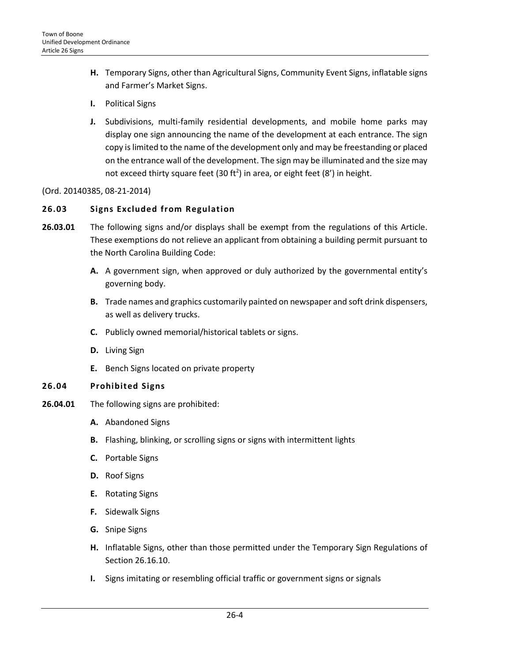- **H.** Temporary Signs, other than Agricultural Signs, Community Event Signs, inflatable signs and Farmer's Market Signs.
- **I.** Political Signs
- **J.** Subdivisions, multi-family residential developments, and mobile home parks may display one sign announcing the name of the development at each entrance. The sign copy is limited to the name of the development only and may be freestanding or placed on the entrance wall of the development. The sign may be illuminated and the size may not exceed thirty square feet (30 ft<sup>2</sup>) in area, or eight feet (8') in height.

(Ord. 20140385, 08-21-2014)

# <span id="page-3-0"></span>**26.03 Signs Excluded from Regulation**

- **26.03.01** The following signs and/or displays shall be exempt from the regulations of this Article. These exemptions do not relieve an applicant from obtaining a building permit pursuant to the North Carolina Building Code:
	- **A.** A government sign, when approved or duly authorized by the governmental entity's governing body.
	- **B.** Trade names and graphics customarily painted on newspaper and soft drink dispensers, as well as delivery trucks.
	- **C.** Publicly owned memorial/historical tablets or signs.
	- **D.** Living Sign
	- **E.** Bench Signs located on private property

# <span id="page-3-1"></span>**26.04 Prohibited Signs**

- **26.04.01** The following signs are prohibited:
	- **A.** Abandoned Signs
	- **B.** Flashing, blinking, or scrolling signs or signs with intermittent lights
	- **C.** Portable Signs
	- **D.** Roof Signs
	- **E.** Rotating Signs
	- **F.** Sidewalk Signs
	- **G.** Snipe Signs
	- **H.** Inflatable Signs, other than those permitted under the Temporary Sign Regulations of Section 26.16.10.
	- **I.** Signs imitating or resembling official traffic or government signs or signals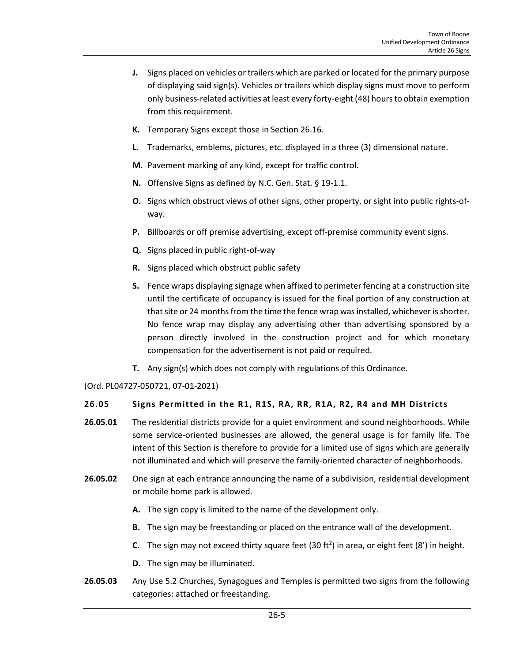- **J.** Signs placed on vehicles or trailers which are parked or located for the primary purpose of displaying said sign(s). Vehicles or trailers which display signs must move to perform only business-related activities at least every forty-eight (48) hours to obtain exemption from this requirement.
- **K.** Temporary Signs except those in Section 26.16.
- **L.** Trademarks, emblems, pictures, etc. displayed in a three (3) dimensional nature.
- **M.** Pavement marking of any kind, except for traffic control.
- **N.** Offensive Signs as defined by N.C. Gen. Stat. § 19-1.1.
- **O.** Signs which obstruct views of other signs, other property, or sight into public rights-ofway.
- **P.** Billboards or off premise advertising, except off-premise community event signs.
- **Q.** Signs placed in public right-of-way
- **R.** Signs placed which obstruct public safety
- **S.** Fence wraps displaying signage when affixed to perimeter fencing at a construction site until the certificate of occupancy is issued for the final portion of any construction at that site or 24 months from the time the fence wrap was installed, whichever is shorter. No fence wrap may display any advertising other than advertising sponsored by a person directly involved in the construction project and for which monetary compensation for the advertisement is not paid or required.
- **T.** Any sign(s) which does not comply with regulations of this Ordinance.

(Ord. PL04727-050721, 07-01-2021)

# <span id="page-4-0"></span>**26.05 Signs Permitted in the R1, R1S, RA, RR, R1A, R2, R4 and MH Districts**

- **26.05.01** The residential districts provide for a quiet environment and sound neighborhoods. While some service-oriented businesses are allowed, the general usage is for family life. The intent of this Section is therefore to provide for a limited use of signs which are generally not illuminated and which will preserve the family-oriented character of neighborhoods.
- **26.05.02** One sign at each entrance announcing the name of a subdivision, residential development or mobile home park is allowed.
	- **A.** The sign copy is limited to the name of the development only.
	- **B.** The sign may be freestanding or placed on the entrance wall of the development.
	- **C.** The sign may not exceed thirty square feet (30 ft<sup>2</sup>) in area, or eight feet (8') in height.
	- **D.** The sign may be illuminated.
- **26.05.03** Any Use 5.2 Churches, Synagogues and Temples is permitted two signs from the following categories: attached or freestanding.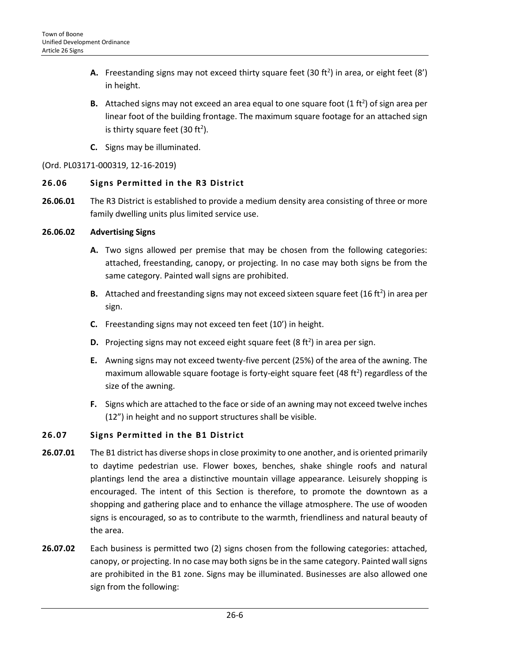- **A.** Freestanding signs may not exceed thirty square feet (30 ft<sup>2</sup>) in area, or eight feet (8') in height.
- **B.** Attached signs may not exceed an area equal to one square foot  $(1 ft<sup>2</sup>)$  of sign area per linear foot of the building frontage. The maximum square footage for an attached sign is thirty square feet (30 ft<sup>2</sup>).
- **C.** Signs may be illuminated.

# (Ord. PL03171-000319, 12-16-2019)

# <span id="page-5-0"></span>**26.06 Signs Permitted in the R3 District**

**26.06.01** The R3 District is established to provide a medium density area consisting of three or more family dwelling units plus limited service use.

# **26.06.02 Advertising Signs**

- **A.** Two signs allowed per premise that may be chosen from the following categories: attached, freestanding, canopy, or projecting. In no case may both signs be from the same category. Painted wall signs are prohibited.
- B. Attached and freestanding signs may not exceed sixteen square feet (16 ft<sup>2</sup>) in area per sign.
- **C.** Freestanding signs may not exceed ten feet (10') in height.
- **D.** Projecting signs may not exceed eight square feet (8 ft<sup>2</sup>) in area per sign.
- **E.** Awning signs may not exceed twenty-five percent (25%) of the area of the awning. The maximum allowable square footage is forty-eight square feet (48 $\,$ ft<sup>2</sup>) regardless of the size of the awning.
- **F.** Signs which are attached to the face or side of an awning may not exceed twelve inches (12") in height and no support structures shall be visible.

# <span id="page-5-1"></span>**26.07 Signs Permitted in the B1 District**

- **26.07.01** The B1 district has diverse shops in close proximity to one another, and is oriented primarily to daytime pedestrian use. Flower boxes, benches, shake shingle roofs and natural plantings lend the area a distinctive mountain village appearance. Leisurely shopping is encouraged. The intent of this Section is therefore, to promote the downtown as a shopping and gathering place and to enhance the village atmosphere. The use of wooden signs is encouraged, so as to contribute to the warmth, friendliness and natural beauty of the area.
- **26.07.02** Each business is permitted two (2) signs chosen from the following categories: attached, canopy, or projecting. In no case may both signs be in the same category. Painted wall signs are prohibited in the B1 zone. Signs may be illuminated. Businesses are also allowed one sign from the following: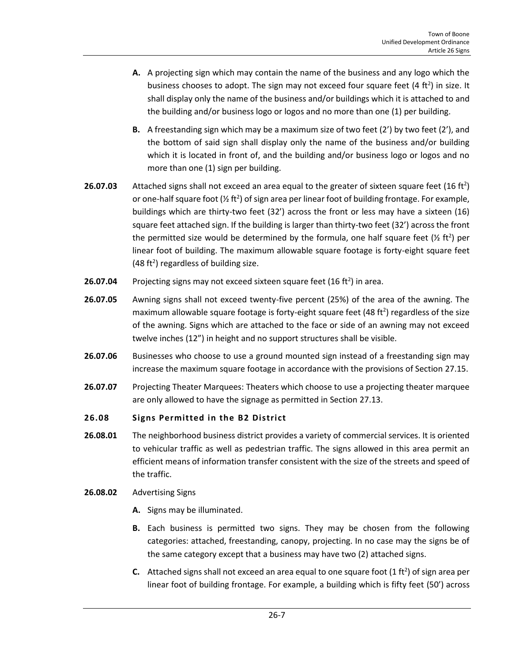- **A.** A projecting sign which may contain the name of the business and any logo which the business chooses to adopt. The sign may not exceed four square feet  $(4 ft<sup>2</sup>)$  in size. It shall display only the name of the business and/or buildings which it is attached to and the building and/or business logo or logos and no more than one (1) per building.
- **B.** A freestanding sign which may be a maximum size of two feet (2') by two feet (2'), and the bottom of said sign shall display only the name of the business and/or building which it is located in front of, and the building and/or business logo or logos and no more than one (1) sign per building.
- **26.07.03** Attached signs shall not exceed an area equal to the greater of sixteen square feet  $(16 ft<sup>2</sup>)$ or one-half square foot ( $\frac{1}{2}$  ft<sup>2</sup>) of sign area per linear foot of building frontage. For example, buildings which are thirty-two feet (32') across the front or less may have a sixteen (16) square feet attached sign. If the building is larger than thirty-two feet (32') across the front the permitted size would be determined by the formula, one half square feet  $(\frac{1}{2} \text{ ft}^2)$  per linear foot of building. The maximum allowable square footage is forty-eight square feet  $(48 ft<sup>2</sup>)$  regardless of building size.
- **26.07.04** Projecting signs may not exceed sixteen square feet (16 ft<sup>2</sup>) in area.
- **26.07.05** Awning signs shall not exceed twenty-five percent (25%) of the area of the awning. The maximum allowable square footage is forty-eight square feet (48 $\,$ ft<sup>2</sup>) regardless of the size of the awning. Signs which are attached to the face or side of an awning may not exceed twelve inches (12") in height and no support structures shall be visible.
- **26.07.06** Businesses who choose to use a ground mounted sign instead of a freestanding sign may increase the maximum square footage in accordance with the provisions of Section 27.15.
- **26.07.07** Projecting Theater Marquees: Theaters which choose to use a projecting theater marquee are only allowed to have the signage as permitted in Section 27.13.

#### <span id="page-6-0"></span>**26.08 Signs Permitted in the B2 District**

- **26.08.01** The neighborhood business district provides a variety of commercial services. It is oriented to vehicular traffic as well as pedestrian traffic. The signs allowed in this area permit an efficient means of information transfer consistent with the size of the streets and speed of the traffic.
- **26.08.02** Advertising Signs
	- **A.** Signs may be illuminated.
	- **B.** Each business is permitted two signs. They may be chosen from the following categories: attached, freestanding, canopy, projecting. In no case may the signs be of the same category except that a business may have two (2) attached signs.
	- **C.** Attached signs shall not exceed an area equal to one square foot  $(1 ft<sup>2</sup>)$  of sign area per linear foot of building frontage. For example, a building which is fifty feet (50') across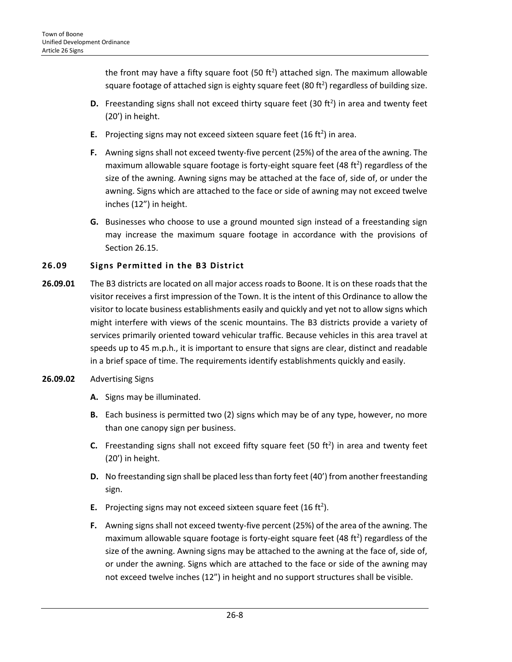the front may have a fifty square foot (50 ft<sup>2</sup>) attached sign. The maximum allowable square footage of attached sign is eighty square feet (80 ft<sup>2</sup>) regardless of building size.

- **D.** Freestanding signs shall not exceed thirty square feet (30 ft<sup>2</sup>) in area and twenty feet (20') in height.
- **E.** Projecting signs may not exceed sixteen square feet (16 ft<sup>2</sup>) in area.
- **F.** Awning signs shall not exceed twenty-five percent (25%) of the area of the awning. The maximum allowable square footage is forty-eight square feet (48 $\,$ ft<sup>2</sup>) regardless of the size of the awning. Awning signs may be attached at the face of, side of, or under the awning. Signs which are attached to the face or side of awning may not exceed twelve inches (12") in height.
- **G.** Businesses who choose to use a ground mounted sign instead of a freestanding sign may increase the maximum square footage in accordance with the provisions of Section 26.15.

# <span id="page-7-0"></span>**26.09 Signs Permitted in the B3 District**

- **26.09.01** The B3 districts are located on all major access roads to Boone. It is on these roads that the visitor receives a first impression of the Town. It is the intent of this Ordinance to allow the visitor to locate business establishments easily and quickly and yet not to allow signs which might interfere with views of the scenic mountains. The B3 districts provide a variety of services primarily oriented toward vehicular traffic. Because vehicles in this area travel at speeds up to 45 m.p.h., it is important to ensure that signs are clear, distinct and readable in a brief space of time. The requirements identify establishments quickly and easily.
- **26.09.02** Advertising Signs
	- **A.** Signs may be illuminated.
	- **B.** Each business is permitted two (2) signs which may be of any type, however, no more than one canopy sign per business.
	- **C.** Freestanding signs shall not exceed fifty square feet (50 ft<sup>2</sup>) in area and twenty feet (20') in height.
	- **D.** No freestanding sign shall be placed less than forty feet (40') from another freestanding sign.
	- **E.** Projecting signs may not exceed sixteen square feet  $(16 ft<sup>2</sup>)$ .
	- **F.** Awning signs shall not exceed twenty-five percent (25%) of the area of the awning. The maximum allowable square footage is forty-eight square feet (48 $\,$ ft<sup>2</sup>) regardless of the size of the awning. Awning signs may be attached to the awning at the face of, side of, or under the awning. Signs which are attached to the face or side of the awning may not exceed twelve inches (12") in height and no support structures shall be visible.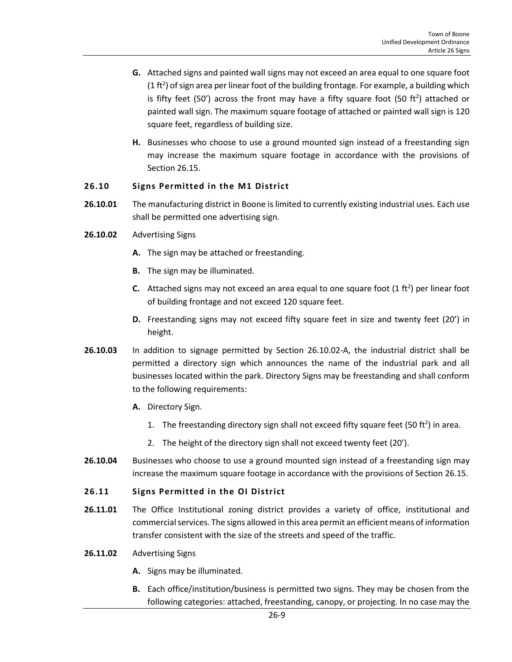- **G.** Attached signs and painted wall signs may not exceed an area equal to one square foot (1 ft<sup>2</sup>) of sign area per linear foot of the building frontage. For example, a building which is fifty feet (50') across the front may have a fifty square foot (50 ft<sup>2</sup>) attached or painted wall sign. The maximum square footage of attached or painted wall sign is 120 square feet, regardless of building size.
- **H.** Businesses who choose to use a ground mounted sign instead of a freestanding sign may increase the maximum square footage in accordance with the provisions of Section 26.15.

### <span id="page-8-0"></span>**26.10 Signs Permitted in the M1 District**

- **26.10.01** The manufacturing district in Boone is limited to currently existing industrial uses. Each use shall be permitted one advertising sign.
- **26.10.02** Advertising Signs
	- **A.** The sign may be attached or freestanding.
	- **B.** The sign may be illuminated.
	- **C.** Attached signs may not exceed an area equal to one square foot  $(1 \text{ ft}^2)$  per linear foot of building frontage and not exceed 120 square feet.
	- **D.** Freestanding signs may not exceed fifty square feet in size and twenty feet (20') in height.
- **26.10.03** In addition to signage permitted by Section 26.10.02-A, the industrial district shall be permitted a directory sign which announces the name of the industrial park and all businesses located within the park. Directory Signs may be freestanding and shall conform to the following requirements:
	- **A.** Directory Sign.
		- 1. The freestanding directory sign shall not exceed fifty square feet (50 ft<sup>2</sup>) in area.
		- 2. The height of the directory sign shall not exceed twenty feet (20').
- **26.10.04** Businesses who choose to use a ground mounted sign instead of a freestanding sign may increase the maximum square footage in accordance with the provisions of Section 26.15.

#### <span id="page-8-1"></span>**26.11 Signs Permitted in the OI District**

**26.11.01** The Office Institutional zoning district provides a variety of office, institutional and commercial services. The signs allowed in this area permit an efficient means of information transfer consistent with the size of the streets and speed of the traffic.

#### **26.11.02** Advertising Signs

- **A.** Signs may be illuminated.
- **B.** Each office/institution/business is permitted two signs. They may be chosen from the following categories: attached, freestanding, canopy, or projecting. In no case may the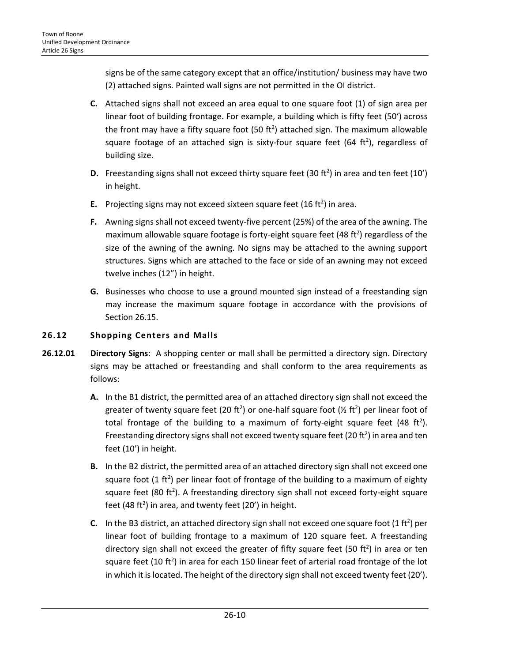signs be of the same category except that an office/institution/ business may have two (2) attached signs. Painted wall signs are not permitted in the OI district.

- **C.** Attached signs shall not exceed an area equal to one square foot (1) of sign area per linear foot of building frontage. For example, a building which is fifty feet (50') across the front may have a fifty square foot  $(50 \text{ ft}^2)$  attached sign. The maximum allowable square footage of an attached sign is sixty-four square feet (64 ft<sup>2</sup>), regardless of building size.
- **D.** Freestanding signs shall not exceed thirty square feet (30 ft<sup>2</sup>) in area and ten feet (10') in height.
- **E.** Projecting signs may not exceed sixteen square feet  $(16 ft<sup>2</sup>)$  in area.
- **F.** Awning signs shall not exceed twenty-five percent (25%) of the area of the awning. The maximum allowable square footage is forty-eight square feet (48 ft<sup>2</sup>) regardless of the size of the awning of the awning. No signs may be attached to the awning support structures. Signs which are attached to the face or side of an awning may not exceed twelve inches (12") in height.
- **G.** Businesses who choose to use a ground mounted sign instead of a freestanding sign may increase the maximum square footage in accordance with the provisions of Section 26.15.

# <span id="page-9-0"></span>**26.12 Shopping Centers and Malls**

- **26.12.01 Directory Signs**: A shopping center or mall shall be permitted a directory sign. Directory signs may be attached or freestanding and shall conform to the area requirements as follows:
	- **A.** In the B1 district, the permitted area of an attached directory sign shall not exceed the greater of twenty square feet (20 ft<sup>2</sup>) or one-half square foot (½ ft<sup>2</sup>) per linear foot of total frontage of the building to a maximum of forty-eight square feet (48 ft<sup>2</sup>). Freestanding directory signs shall not exceed twenty square feet (20 $\,$ ft<sup>2</sup>) in area and ten feet (10') in height.
	- **B.** In the B2 district, the permitted area of an attached directory sign shall not exceed one square foot  $(1 \text{ ft}^2)$  per linear foot of frontage of the building to a maximum of eighty square feet (80 ft<sup>2</sup>). A freestanding directory sign shall not exceed forty-eight square feet (48 ft<sup>2</sup>) in area, and twenty feet (20') in height.
	- **C.** In the B3 district, an attached directory sign shall not exceed one square foot  $(1 ft<sup>2</sup>)$  per linear foot of building frontage to a maximum of 120 square feet. A freestanding directory sign shall not exceed the greater of fifty square feet (50 ft<sup>2</sup>) in area or ten square feet (10 ft<sup>2</sup>) in area for each 150 linear feet of arterial road frontage of the lot in which it is located. The height of the directory sign shall not exceed twenty feet (20').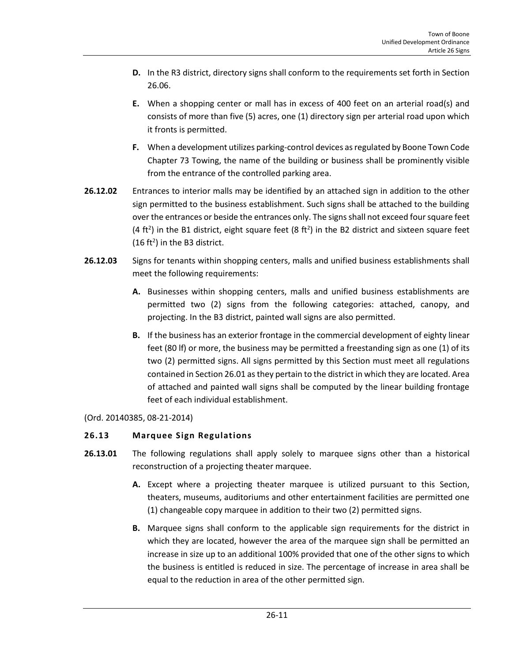- **D.** In the R3 district, directory signs shall conform to the requirements set forth in Section 26.06.
- **E.** When a shopping center or mall has in excess of 400 feet on an arterial road(s) and consists of more than five (5) acres, one (1) directory sign per arterial road upon which it fronts is permitted.
- **F.** When a development utilizes parking-control devices as regulated by Boone Town Code Chapter 73 Towing, the name of the building or business shall be prominently visible from the entrance of the controlled parking area.
- **26.12.02** Entrances to interior malls may be identified by an attached sign in addition to the other sign permitted to the business establishment. Such signs shall be attached to the building over the entrances or beside the entrances only. The signs shall not exceed four square feet (4 ft<sup>2</sup>) in the B1 district, eight square feet (8 ft<sup>2</sup>) in the B2 district and sixteen square feet  $(16 ft<sup>2</sup>)$  in the B3 district.
- **26.12.03** Signs for tenants within shopping centers, malls and unified business establishments shall meet the following requirements:
	- **A.** Businesses within shopping centers, malls and unified business establishments are permitted two (2) signs from the following categories: attached, canopy, and projecting. In the B3 district, painted wall signs are also permitted.
	- **B.** If the business has an exterior frontage in the commercial development of eighty linear feet (80 lf) or more, the business may be permitted a freestanding sign as one (1) of its two (2) permitted signs. All signs permitted by this Section must meet all regulations contained in Section 26.01 as they pertain to the district in which they are located. Area of attached and painted wall signs shall be computed by the linear building frontage feet of each individual establishment.

(Ord. 20140385, 08-21-2014)

# <span id="page-10-0"></span>**26.13 Marquee Sign Regulations**

- **26.13.01** The following regulations shall apply solely to marquee signs other than a historical reconstruction of a projecting theater marquee.
	- **A.** Except where a projecting theater marquee is utilized pursuant to this Section, theaters, museums, auditoriums and other entertainment facilities are permitted one (1) changeable copy marquee in addition to their two (2) permitted signs.
	- **B.** Marquee signs shall conform to the applicable sign requirements for the district in which they are located, however the area of the marquee sign shall be permitted an increase in size up to an additional 100% provided that one of the other signs to which the business is entitled is reduced in size. The percentage of increase in area shall be equal to the reduction in area of the other permitted sign.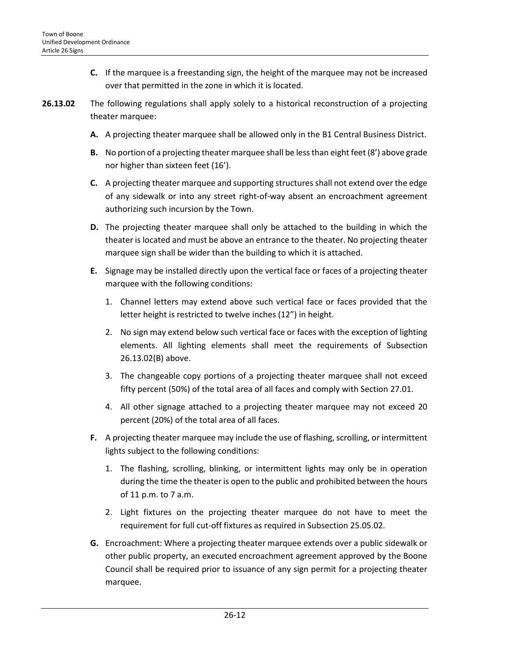- **C.** If the marquee is a freestanding sign, the height of the marquee may not be increased over that permitted in the zone in which it is located.
- **26.13.02** The following regulations shall apply solely to a historical reconstruction of a projecting theater marquee:
	- **A.** A projecting theater marquee shall be allowed only in the B1 Central Business District.
	- **B.** No portion of a projecting theater marquee shall be less than eight feet (8') above grade nor higher than sixteen feet (16').
	- **C.** A projecting theater marquee and supporting structures shall not extend over the edge of any sidewalk or into any street right-of-way absent an encroachment agreement authorizing such incursion by the Town.
	- **D.** The projecting theater marquee shall only be attached to the building in which the theater is located and must be above an entrance to the theater. No projecting theater marquee sign shall be wider than the building to which it is attached.
	- **E.** Signage may be installed directly upon the vertical face or faces of a projecting theater marquee with the following conditions:
		- 1. Channel letters may extend above such vertical face or faces provided that the letter height is restricted to twelve inches (12") in height.
		- 2. No sign may extend below such vertical face or faces with the exception of lighting elements. All lighting elements shall meet the requirements of Subsection 26.13.02(B) above.
		- 3. The changeable copy portions of a projecting theater marquee shall not exceed fifty percent (50%) of the total area of all faces and comply with Section 27.01.
		- 4. All other signage attached to a projecting theater marquee may not exceed 20 percent (20%) of the total area of all faces.
	- **F.** A projecting theater marquee may include the use of flashing, scrolling, or intermittent lights subject to the following conditions:
		- 1. The flashing, scrolling, blinking, or intermittent lights may only be in operation during the time the theater is open to the public and prohibited between the hours of 11 p.m. to 7 a.m.
		- 2. Light fixtures on the projecting theater marquee do not have to meet the requirement for full cut-off fixtures as required in Subsection 25.05.02.
	- **G.** Encroachment: Where a projecting theater marquee extends over a public sidewalk or other public property, an executed encroachment agreement approved by the Boone Council shall be required prior to issuance of any sign permit for a projecting theater marquee.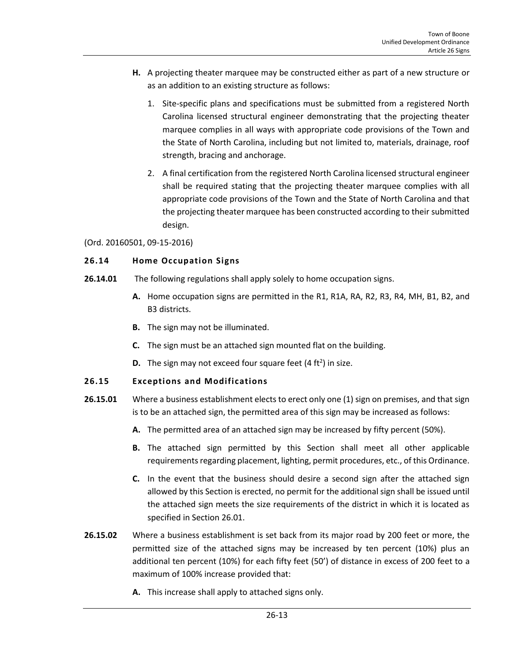- **H.** A projecting theater marquee may be constructed either as part of a new structure or as an addition to an existing structure as follows:
	- 1. Site-specific plans and specifications must be submitted from a registered North Carolina licensed structural engineer demonstrating that the projecting theater marquee complies in all ways with appropriate code provisions of the Town and the State of North Carolina, including but not limited to, materials, drainage, roof strength, bracing and anchorage.
	- 2. A final certification from the registered North Carolina licensed structural engineer shall be required stating that the projecting theater marquee complies with all appropriate code provisions of the Town and the State of North Carolina and that the projecting theater marquee has been constructed according to their submitted design.

### (Ord. 20160501, 09-15-2016)

# <span id="page-12-0"></span>**26.14 Home Occupation Signs**

- **26.14.01** The following regulations shall apply solely to home occupation signs.
	- **A.** Home occupation signs are permitted in the R1, R1A, RA, R2, R3, R4, MH, B1, B2, and B3 districts.
	- **B.** The sign may not be illuminated.
	- **C.** The sign must be an attached sign mounted flat on the building.
	- **D.** The sign may not exceed four square feet  $(4 ft<sup>2</sup>)$  in size.

# <span id="page-12-1"></span>**26.15 Exceptions and Modifications**

- **26.15.01** Where a business establishment elects to erect only one (1) sign on premises, and that sign is to be an attached sign, the permitted area of this sign may be increased as follows:
	- **A.** The permitted area of an attached sign may be increased by fifty percent (50%).
	- **B.** The attached sign permitted by this Section shall meet all other applicable requirements regarding placement, lighting, permit procedures, etc., of this Ordinance.
	- **C.** In the event that the business should desire a second sign after the attached sign allowed by this Section is erected, no permit for the additional sign shall be issued until the attached sign meets the size requirements of the district in which it is located as specified in Section 26.01.
- **26.15.02** Where a business establishment is set back from its major road by 200 feet or more, the permitted size of the attached signs may be increased by ten percent (10%) plus an additional ten percent (10%) for each fifty feet (50') of distance in excess of 200 feet to a maximum of 100% increase provided that:
	- **A.** This increase shall apply to attached signs only.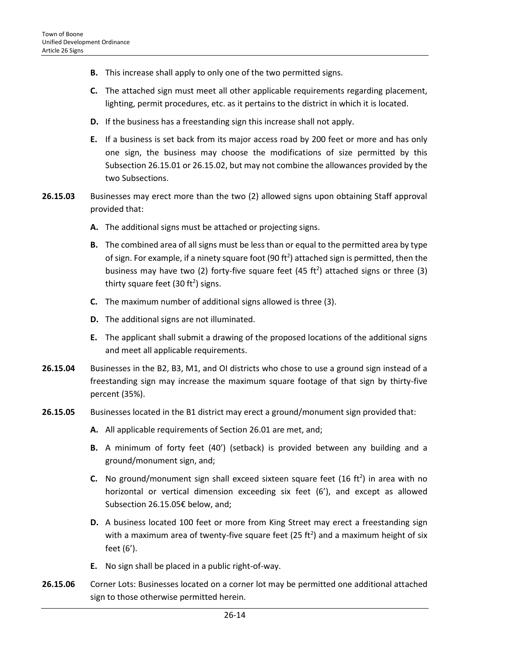- **B.** This increase shall apply to only one of the two permitted signs.
- **C.** The attached sign must meet all other applicable requirements regarding placement, lighting, permit procedures, etc. as it pertains to the district in which it is located.
- **D.** If the business has a freestanding sign this increase shall not apply.
- **E.** If a business is set back from its major access road by 200 feet or more and has only one sign, the business may choose the modifications of size permitted by this Subsection 26.15.01 or 26.15.02, but may not combine the allowances provided by the two Subsections.
- **26.15.03** Businesses may erect more than the two (2) allowed signs upon obtaining Staff approval provided that:
	- **A.** The additional signs must be attached or projecting signs.
	- **B.** The combined area of all signs must be less than or equal to the permitted area by type of sign. For example, if a ninety square foot (90 ft<sup>2</sup>) attached sign is permitted, then the business may have two (2) forty-five square feet (45 ft<sup>2</sup>) attached signs or three (3) thirty square feet (30 ft<sup>2</sup>) signs.
	- **C.** The maximum number of additional signs allowed is three (3).
	- **D.** The additional signs are not illuminated.
	- **E.** The applicant shall submit a drawing of the proposed locations of the additional signs and meet all applicable requirements.
- **26.15.04** Businesses in the B2, B3, M1, and OI districts who chose to use a ground sign instead of a freestanding sign may increase the maximum square footage of that sign by thirty-five percent (35%).
- **26.15.05** Businesses located in the B1 district may erect a ground/monument sign provided that:
	- **A.** All applicable requirements of Section 26.01 are met, and;
	- **B.** A minimum of forty feet (40') (setback) is provided between any building and a ground/monument sign, and;
	- **C.** No ground/monument sign shall exceed sixteen square feet  $(16 \text{ ft}^2)$  in area with no horizontal or vertical dimension exceeding six feet (6'), and except as allowed Subsection 26.15.05€ below, and;
	- **D.** A business located 100 feet or more from King Street may erect a freestanding sign with a maximum area of twenty-five square feet (25 ft<sup>2</sup>) and a maximum height of six feet (6').
	- **E.** No sign shall be placed in a public right-of-way.
- **26.15.06** Corner Lots: Businesses located on a corner lot may be permitted one additional attached sign to those otherwise permitted herein.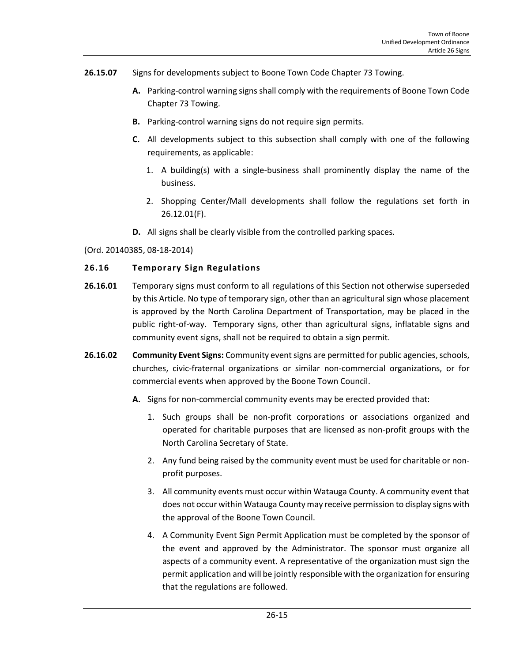- **26.15.07** Signs for developments subject to Boone Town Code Chapter 73 Towing.
	- **A.** Parking-control warning signs shall comply with the requirements of Boone Town Code Chapter 73 Towing.
	- **B.** Parking-control warning signs do not require sign permits.
	- **C.** All developments subject to this subsection shall comply with one of the following requirements, as applicable:
		- 1. A building(s) with a single-business shall prominently display the name of the business.
		- 2. Shopping Center/Mall developments shall follow the regulations set forth in 26.12.01(F).
	- **D.** All signs shall be clearly visible from the controlled parking spaces.

### (Ord. 20140385, 08-18-2014)

### <span id="page-14-0"></span>**26.16 Temporary Sign Regulations**

- **26.16.01** Temporary signs must conform to all regulations of this Section not otherwise superseded by this Article. No type of temporary sign, other than an agricultural sign whose placement is approved by the North Carolina Department of Transportation, may be placed in the public right-of-way. Temporary signs, other than agricultural signs, inflatable signs and community event signs, shall not be required to obtain a sign permit.
- **26.16.02 Community Event Signs:** Community event signs are permitted for public agencies, schools, churches, civic-fraternal organizations or similar non-commercial organizations, or for commercial events when approved by the Boone Town Council.
	- **A.** Signs for non-commercial community events may be erected provided that:
		- 1. Such groups shall be non-profit corporations or associations organized and operated for charitable purposes that are licensed as non-profit groups with the North Carolina Secretary of State.
		- 2. Any fund being raised by the community event must be used for charitable or nonprofit purposes.
		- 3. All community events must occur within Watauga County. A community event that does not occur within Watauga County may receive permission to display signs with the approval of the Boone Town Council.
		- 4. A Community Event Sign Permit Application must be completed by the sponsor of the event and approved by the Administrator. The sponsor must organize all aspects of a community event. A representative of the organization must sign the permit application and will be jointly responsible with the organization for ensuring that the regulations are followed.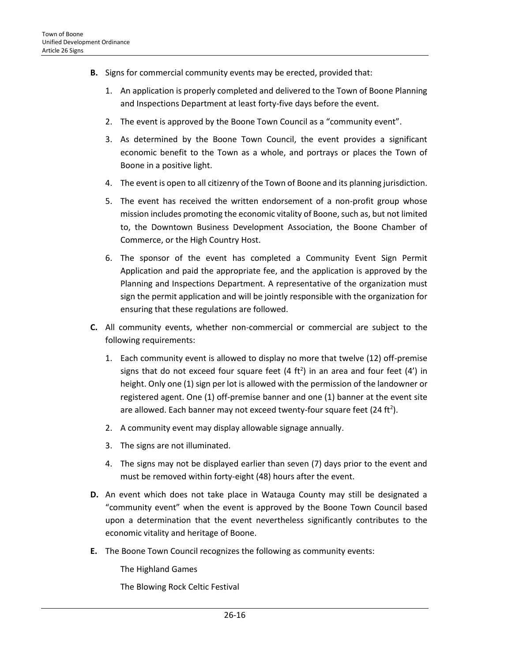- **B.** Signs for commercial community events may be erected, provided that:
	- 1. An application is properly completed and delivered to the Town of Boone Planning and Inspections Department at least forty-five days before the event.
	- 2. The event is approved by the Boone Town Council as a "community event".
	- 3. As determined by the Boone Town Council, the event provides a significant economic benefit to the Town as a whole, and portrays or places the Town of Boone in a positive light.
	- 4. The event is open to all citizenry of the Town of Boone and its planning jurisdiction.
	- 5. The event has received the written endorsement of a non-profit group whose mission includes promoting the economic vitality of Boone, such as, but not limited to, the Downtown Business Development Association, the Boone Chamber of Commerce, or the High Country Host.
	- 6. The sponsor of the event has completed a Community Event Sign Permit Application and paid the appropriate fee, and the application is approved by the Planning and Inspections Department. A representative of the organization must sign the permit application and will be jointly responsible with the organization for ensuring that these regulations are followed.
- **C.** All community events, whether non-commercial or commercial are subject to the following requirements:
	- 1. Each community event is allowed to display no more that twelve (12) off-premise signs that do not exceed four square feet  $(4 \text{ ft}^2)$  in an area and four feet  $(4')$  in height. Only one (1) sign per lot is allowed with the permission of the landowner or registered agent. One (1) off-premise banner and one (1) banner at the event site are allowed. Each banner may not exceed twenty-four square feet (24 ft<sup>2</sup>).
	- 2. A community event may display allowable signage annually.
	- 3. The signs are not illuminated.
	- 4. The signs may not be displayed earlier than seven (7) days prior to the event and must be removed within forty-eight (48) hours after the event.
- **D.** An event which does not take place in Watauga County may still be designated a "community event" when the event is approved by the Boone Town Council based upon a determination that the event nevertheless significantly contributes to the economic vitality and heritage of Boone.
- **E.** The Boone Town Council recognizes the following as community events:

The Highland Games

The Blowing Rock Celtic Festival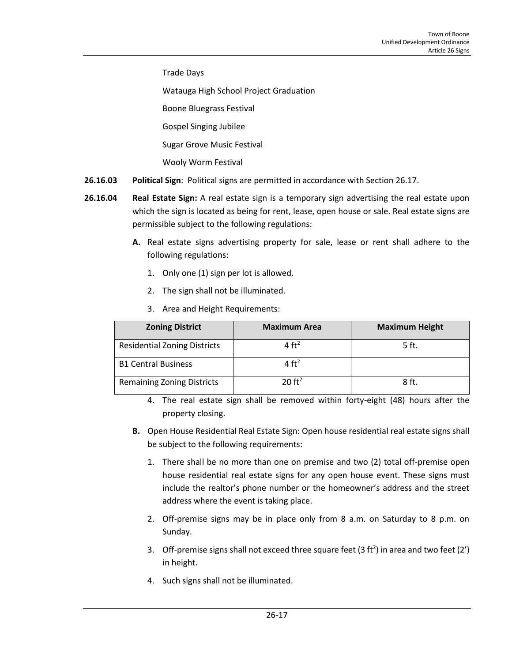Trade Days

Watauga High School Project Graduation

Boone Bluegrass Festival

Gospel Singing Jubilee

Sugar Grove Music Festival

Wooly Worm Festival

- **26.16.03 Political Sign**: Political signs are permitted in accordance with Section 26.17.
- **26.16.04 Real Estate Sign:** A real estate sign is a temporary sign advertising the real estate upon which the sign is located as being for rent, lease, open house or sale. Real estate signs are permissible subject to the following regulations:
	- **A.** Real estate signs advertising property for sale, lease or rent shall adhere to the following regulations:
		- 1. Only one (1) sign per lot is allowed.
		- 2. The sign shall not be illuminated.
		- 3. Area and Height Requirements:

| <b>Zoning District</b>              | <b>Maximum Area</b> | <b>Maximum Height</b> |
|-------------------------------------|---------------------|-----------------------|
| <b>Residential Zoning Districts</b> | $4 \text{ ft}^2$    | 5 ft.                 |
| <b>B1 Central Business</b>          | 4 ft <sup>2</sup>   |                       |
| <b>Remaining Zoning Districts</b>   | 20 ft <sup>2</sup>  | 8ft.                  |

4. The real estate sign shall be removed within forty-eight (48) hours after the property closing.

- **B.** Open House Residential Real Estate Sign: Open house residential real estate signs shall be subject to the following requirements:
	- 1. There shall be no more than one on premise and two (2) total off-premise open house residential real estate signs for any open house event. These signs must include the realtor's phone number or the homeowner's address and the street address where the event is taking place.
	- 2. Off-premise signs may be in place only from 8 a.m. on Saturday to 8 p.m. on Sunday.
	- 3. Off-premise signs shall not exceed three square feet (3 ft<sup>2</sup>) in area and two feet (2') in height.
	- 4. Such signs shall not be illuminated.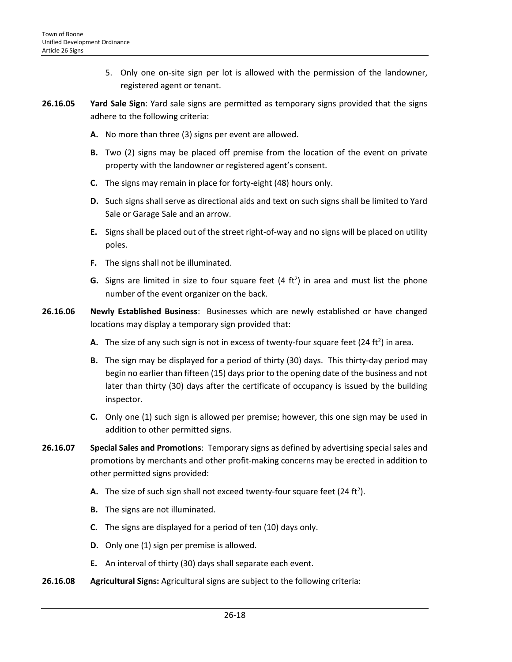- 5. Only one on-site sign per lot is allowed with the permission of the landowner, registered agent or tenant.
- **26.16.05 Yard Sale Sign**: Yard sale signs are permitted as temporary signs provided that the signs adhere to the following criteria:
	- **A.** No more than three (3) signs per event are allowed.
	- **B.** Two (2) signs may be placed off premise from the location of the event on private property with the landowner or registered agent's consent.
	- **C.** The signs may remain in place for forty-eight (48) hours only.
	- **D.** Such signs shall serve as directional aids and text on such signs shall be limited to Yard Sale or Garage Sale and an arrow.
	- **E.** Signs shall be placed out of the street right-of-way and no signs will be placed on utility poles.
	- **F.** The signs shall not be illuminated.
	- **G.** Signs are limited in size to four square feet (4 ft<sup>2</sup>) in area and must list the phone number of the event organizer on the back.
- **26.16.06 Newly Established Business**: Businesses which are newly established or have changed locations may display a temporary sign provided that:
	- **A.** The size of any such sign is not in excess of twenty-four square feet (24 ft<sup>2</sup>) in area.
	- **B.** The sign may be displayed for a period of thirty (30) days. This thirty-day period may begin no earlier than fifteen (15) days prior to the opening date of the business and not later than thirty (30) days after the certificate of occupancy is issued by the building inspector.
	- **C.** Only one (1) such sign is allowed per premise; however, this one sign may be used in addition to other permitted signs.
- **26.16.07 Special Sales and Promotions**: Temporary signs as defined by advertising special sales and promotions by merchants and other profit-making concerns may be erected in addition to other permitted signs provided:
	- **A.** The size of such sign shall not exceed twenty-four square feet (24 ft<sup>2</sup>).
	- **B.** The signs are not illuminated.
	- **C.** The signs are displayed for a period of ten (10) days only.
	- **D.** Only one (1) sign per premise is allowed.
	- **E.** An interval of thirty (30) days shall separate each event.
- **26.16.08 Agricultural Signs:** Agricultural signs are subject to the following criteria: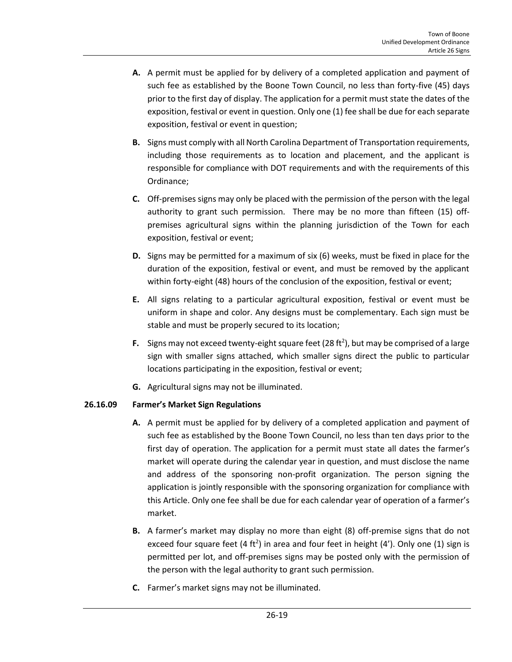- **A.** A permit must be applied for by delivery of a completed application and payment of such fee as established by the Boone Town Council, no less than forty-five (45) days prior to the first day of display. The application for a permit must state the dates of the exposition, festival or event in question. Only one (1) fee shall be due for each separate exposition, festival or event in question;
- **B.** Signs must comply with all North Carolina Department of Transportation requirements, including those requirements as to location and placement, and the applicant is responsible for compliance with DOT requirements and with the requirements of this Ordinance;
- **C.** Off-premises signs may only be placed with the permission of the person with the legal authority to grant such permission. There may be no more than fifteen (15) offpremises agricultural signs within the planning jurisdiction of the Town for each exposition, festival or event;
- **D.** Signs may be permitted for a maximum of six (6) weeks, must be fixed in place for the duration of the exposition, festival or event, and must be removed by the applicant within forty-eight (48) hours of the conclusion of the exposition, festival or event;
- **E.** All signs relating to a particular agricultural exposition, festival or event must be uniform in shape and color. Any designs must be complementary. Each sign must be stable and must be properly secured to its location;
- F. Signs may not exceed twenty-eight square feet (28 ft<sup>2</sup>), but may be comprised of a large sign with smaller signs attached, which smaller signs direct the public to particular locations participating in the exposition, festival or event;
- **G.** Agricultural signs may not be illuminated.

# **26.16.09 Farmer's Market Sign Regulations**

- **A.** A permit must be applied for by delivery of a completed application and payment of such fee as established by the Boone Town Council, no less than ten days prior to the first day of operation. The application for a permit must state all dates the farmer's market will operate during the calendar year in question, and must disclose the name and address of the sponsoring non-profit organization. The person signing the application is jointly responsible with the sponsoring organization for compliance with this Article. Only one fee shall be due for each calendar year of operation of a farmer's market.
- **B.** A farmer's market may display no more than eight (8) off-premise signs that do not exceed four square feet (4 ft<sup>2</sup>) in area and four feet in height (4'). Only one (1) sign is permitted per lot, and off-premises signs may be posted only with the permission of the person with the legal authority to grant such permission.
- **C.** Farmer's market signs may not be illuminated.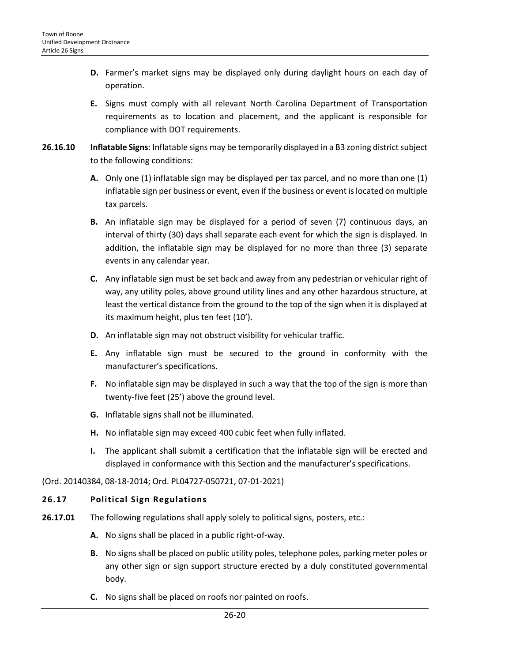- **D.** Farmer's market signs may be displayed only during daylight hours on each day of operation.
- **E.** Signs must comply with all relevant North Carolina Department of Transportation requirements as to location and placement, and the applicant is responsible for compliance with DOT requirements.
- **26.16.10 Inflatable Signs**: Inflatable signs may be temporarily displayed in a B3 zoning district subject to the following conditions:
	- **A.** Only one (1) inflatable sign may be displayed per tax parcel, and no more than one (1) inflatable sign per business or event, even if the business or event is located on multiple tax parcels.
	- **B.** An inflatable sign may be displayed for a period of seven (7) continuous days, an interval of thirty (30) days shall separate each event for which the sign is displayed. In addition, the inflatable sign may be displayed for no more than three (3) separate events in any calendar year.
	- **C.** Any inflatable sign must be set back and away from any pedestrian or vehicular right of way, any utility poles, above ground utility lines and any other hazardous structure, at least the vertical distance from the ground to the top of the sign when it is displayed at its maximum height, plus ten feet (10').
	- **D.** An inflatable sign may not obstruct visibility for vehicular traffic.
	- **E.** Any inflatable sign must be secured to the ground in conformity with the manufacturer's specifications.
	- **F.** No inflatable sign may be displayed in such a way that the top of the sign is more than twenty-five feet (25') above the ground level.
	- **G.** Inflatable signs shall not be illuminated.
	- **H.** No inflatable sign may exceed 400 cubic feet when fully inflated.
	- **I.** The applicant shall submit a certification that the inflatable sign will be erected and displayed in conformance with this Section and the manufacturer's specifications.
- (Ord. 20140384, 08-18-2014; Ord. PL04727-050721, 07-01-2021)

#### <span id="page-19-0"></span>**26.17 Political Sign Regulations**

- **26.17.01** The following regulations shall apply solely to political signs, posters, etc.:
	- **A.** No signs shall be placed in a public right-of-way.
	- **B.** No signs shall be placed on public utility poles, telephone poles, parking meter poles or any other sign or sign support structure erected by a duly constituted governmental body.
	- **C.** No signs shall be placed on roofs nor painted on roofs.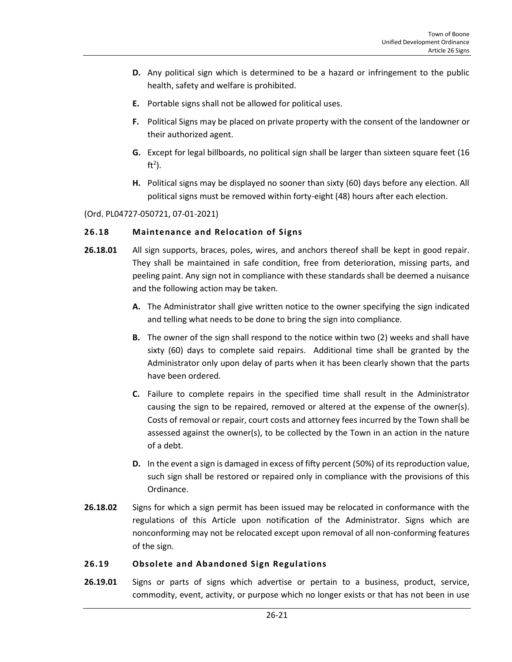- **D.** Any political sign which is determined to be a hazard or infringement to the public health, safety and welfare is prohibited.
- **E.** Portable signs shall not be allowed for political uses.
- **F.** Political Signs may be placed on private property with the consent of the landowner or their authorized agent.
- **G.** Except for legal billboards, no political sign shall be larger than sixteen square feet (16 ft<sup>2</sup>).
- **H.** Political signs may be displayed no sooner than sixty (60) days before any election. All political signs must be removed within forty-eight (48) hours after each election.

(Ord. PL04727-050721, 07-01-2021)

# <span id="page-20-0"></span>**26.18 Maintenance and Relocation of Signs**

- **26.18.01** All sign supports, braces, poles, wires, and anchors thereof shall be kept in good repair. They shall be maintained in safe condition, free from deterioration, missing parts, and peeling paint. Any sign not in compliance with these standards shall be deemed a nuisance and the following action may be taken.
	- **A.** The Administrator shall give written notice to the owner specifying the sign indicated and telling what needs to be done to bring the sign into compliance.
	- **B.** The owner of the sign shall respond to the notice within two (2) weeks and shall have sixty (60) days to complete said repairs. Additional time shall be granted by the Administrator only upon delay of parts when it has been clearly shown that the parts have been ordered.
	- **C.** Failure to complete repairs in the specified time shall result in the Administrator causing the sign to be repaired, removed or altered at the expense of the owner(s). Costs of removal or repair, court costs and attorney fees incurred by the Town shall be assessed against the owner(s), to be collected by the Town in an action in the nature of a debt.
	- **D.** In the event a sign is damaged in excess of fifty percent (50%) of its reproduction value, such sign shall be restored or repaired only in compliance with the provisions of this Ordinance.
- **26.18.02** Signs for which a sign permit has been issued may be relocated in conformance with the regulations of this Article upon notification of the Administrator. Signs which are nonconforming may not be relocated except upon removal of all non-conforming features of the sign.

# <span id="page-20-1"></span>**26.19 Obsolete and Abandoned Sign Regulations**

**26.19.01** Signs or parts of signs which advertise or pertain to a business, product, service, commodity, event, activity, or purpose which no longer exists or that has not been in use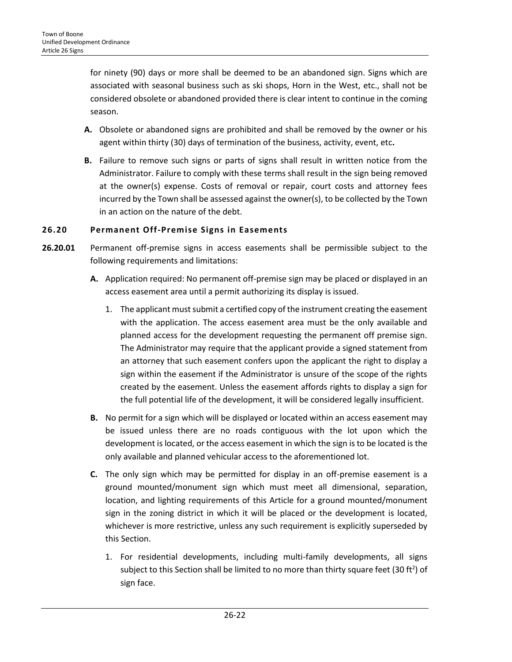for ninety (90) days or more shall be deemed to be an abandoned sign. Signs which are associated with seasonal business such as ski shops, Horn in the West, etc., shall not be considered obsolete or abandoned provided there is clear intent to continue in the coming season.

- **A.** Obsolete or abandoned signs are prohibited and shall be removed by the owner or his agent within thirty (30) days of termination of the business, activity, event, etc**.**
- **B.** Failure to remove such signs or parts of signs shall result in written notice from the Administrator. Failure to comply with these terms shall result in the sign being removed at the owner(s) expense. Costs of removal or repair, court costs and attorney fees incurred by the Town shall be assessed against the owner(s), to be collected by the Town in an action on the nature of the debt.

# <span id="page-21-0"></span>**26.20 Permanent Off-Premise Signs in Easements**

- **26.20.01** Permanent off-premise signs in access easements shall be permissible subject to the following requirements and limitations:
	- **A.** Application required: No permanent off-premise sign may be placed or displayed in an access easement area until a permit authorizing its display is issued.
		- 1. The applicant must submit a certified copy of the instrument creating the easement with the application. The access easement area must be the only available and planned access for the development requesting the permanent off premise sign. The Administrator may require that the applicant provide a signed statement from an attorney that such easement confers upon the applicant the right to display a sign within the easement if the Administrator is unsure of the scope of the rights created by the easement. Unless the easement affords rights to display a sign for the full potential life of the development, it will be considered legally insufficient.
	- **B.** No permit for a sign which will be displayed or located within an access easement may be issued unless there are no roads contiguous with the lot upon which the development is located, or the access easement in which the sign is to be located is the only available and planned vehicular access to the aforementioned lot.
	- **C.** The only sign which may be permitted for display in an off-premise easement is a ground mounted/monument sign which must meet all dimensional, separation, location, and lighting requirements of this Article for a ground mounted/monument sign in the zoning district in which it will be placed or the development is located, whichever is more restrictive, unless any such requirement is explicitly superseded by this Section.
		- 1. For residential developments, including multi-family developments, all signs subject to this Section shall be limited to no more than thirty square feet (30 ft<sup>2</sup>) of sign face.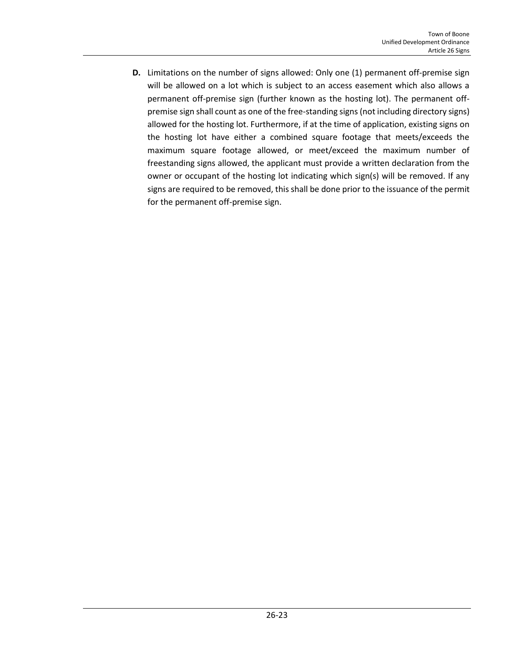**D.** Limitations on the number of signs allowed: Only one (1) permanent off-premise sign will be allowed on a lot which is subject to an access easement which also allows a permanent off-premise sign (further known as the hosting lot). The permanent offpremise sign shall count as one of the free-standing signs (not including directory signs) allowed for the hosting lot. Furthermore, if at the time of application, existing signs on the hosting lot have either a combined square footage that meets/exceeds the maximum square footage allowed, or meet/exceed the maximum number of freestanding signs allowed, the applicant must provide a written declaration from the owner or occupant of the hosting lot indicating which sign(s) will be removed. If any signs are required to be removed, this shall be done prior to the issuance of the permit for the permanent off-premise sign.